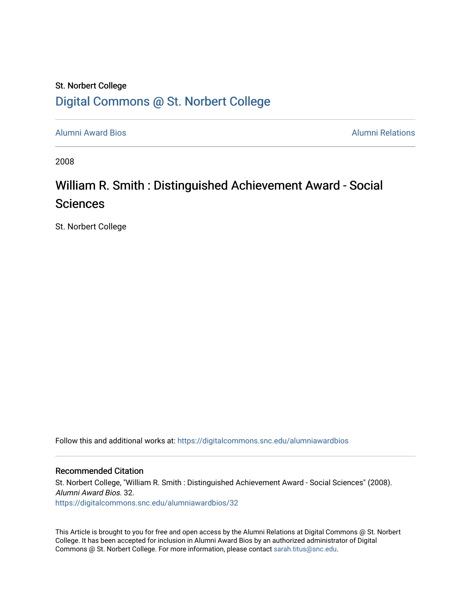## St. Norbert College [Digital Commons @ St. Norbert College](https://digitalcommons.snc.edu/)

[Alumni Award Bios](https://digitalcommons.snc.edu/alumniawardbios) [Alumni Relations](https://digitalcommons.snc.edu/alumni) 

2008

## William R. Smith : Distinguished Achievement Award - Social Sciences

St. Norbert College

Follow this and additional works at: [https://digitalcommons.snc.edu/alumniawardbios](https://digitalcommons.snc.edu/alumniawardbios?utm_source=digitalcommons.snc.edu%2Falumniawardbios%2F32&utm_medium=PDF&utm_campaign=PDFCoverPages)

#### Recommended Citation

St. Norbert College, "William R. Smith : Distinguished Achievement Award - Social Sciences" (2008). Alumni Award Bios. 32. [https://digitalcommons.snc.edu/alumniawardbios/32](https://digitalcommons.snc.edu/alumniawardbios/32?utm_source=digitalcommons.snc.edu%2Falumniawardbios%2F32&utm_medium=PDF&utm_campaign=PDFCoverPages) 

This Article is brought to you for free and open access by the Alumni Relations at Digital Commons @ St. Norbert College. It has been accepted for inclusion in Alumni Award Bios by an authorized administrator of Digital Commons @ St. Norbert College. For more information, please contact [sarah.titus@snc.edu.](mailto:sarah.titus@snc.edu)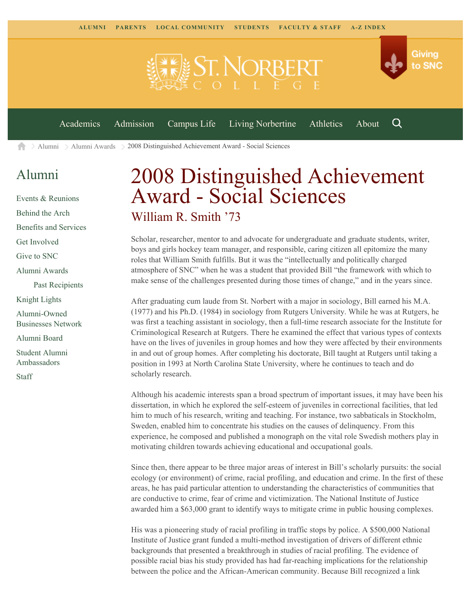

 $\geq$  [Alumni](https://www.snc.edu/alumni/)  $\geq$  [Alumni Awards](https://www.snc.edu/alumni/awards/)  $\geq$  2008 Distinguished Achievement Award - Social Sciences A

## [Alumni](https://www.snc.edu/alumni/index.html)

[Events & Reunions](https://www.snc.edu/alumni/event/index.html) [Behind the Arch](https://www.snc.edu/alumni/event/behindthearch/) [Benefits and Services](https://www.snc.edu/alumni/benefits.html) [Get Involved](https://www.snc.edu/alumni/getinvolved.html) [Give to SNC](http://giving.snc.edu/) [Alumni Awards](https://www.snc.edu/alumni/awards/index.html) [Past Recipients](https://www.snc.edu/alumni/awards/recipients.html) [Knight Lights](https://www.snc.edu/alumni/knightlights/index.html) [Alumni-Owned](https://www.snc.edu/alumni/directory/index.html) [Businesses Network](https://www.snc.edu/alumni/directory/index.html) [Alumni Board](https://www.snc.edu/alumni/alumniboard.html) [Student Alumni](https://www.snc.edu/alumni/saa.html) [Ambassadors](https://www.snc.edu/alumni/saa.html) [Staff](https://www.snc.edu/alumni/contactus.html)

# 2008 Distinguished Achievement Award - Social Sciences William R. Smith '73

Scholar, researcher, mentor to and advocate for undergraduate and graduate students, writer, boys and girls hockey team manager, and responsible, caring citizen all epitomize the many roles that William Smith fulfills. But it was the "intellectually and politically charged atmosphere of SNC" when he was a student that provided Bill "the framework with which to make sense of the challenges presented during those times of change," and in the years since.

After graduating cum laude from St. Norbert with a major in sociology, Bill earned his M.A. (1977) and his Ph.D. (1984) in sociology from Rutgers University. While he was at Rutgers, he was first a teaching assistant in sociology, then a full-time research associate for the Institute for Criminological Research at Rutgers. There he examined the effect that various types of contexts have on the lives of juveniles in group homes and how they were affected by their environments in and out of group homes. After completing his doctorate, Bill taught at Rutgers until taking a position in 1993 at North Carolina State University, where he continues to teach and do scholarly research.

Although his academic interests span a broad spectrum of important issues, it may have been his dissertation, in which he explored the self-esteem of juveniles in correctional facilities, that led him to much of his research, writing and teaching. For instance, two sabbaticals in Stockholm, Sweden, enabled him to concentrate his studies on the causes of delinquency. From this experience, he composed and published a monograph on the vital role Swedish mothers play in motivating children towards achieving educational and occupational goals.

Since then, there appear to be three major areas of interest in Bill's scholarly pursuits: the social ecology (or environment) of crime, racial profiling, and education and crime. In the first of these areas, he has paid particular attention to understanding the characteristics of communities that are conductive to crime, fear of crime and victimization. The National Institute of Justice awarded him a \$63,000 grant to identify ways to mitigate crime in public housing complexes.

His was a pioneering study of racial profiling in traffic stops by police. A \$500,000 National Institute of Justice grant funded a multi-method investigation of drivers of different ethnic backgrounds that presented a breakthrough in studies of racial profiling. The evidence of possible racial bias his study provided has had far-reaching implications for the relationship between the police and the African-American community. Because Bill recognized a link